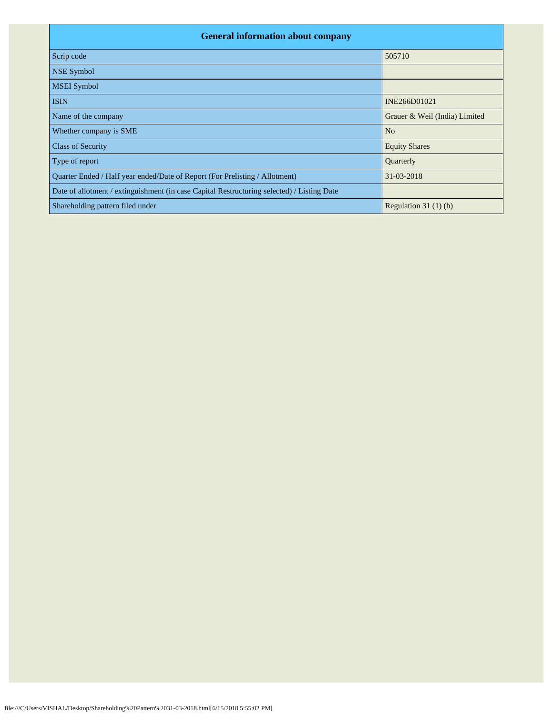| <b>General information about company</b>                                                   |                               |  |  |  |  |  |  |
|--------------------------------------------------------------------------------------------|-------------------------------|--|--|--|--|--|--|
| Scrip code                                                                                 | 505710                        |  |  |  |  |  |  |
| <b>NSE Symbol</b>                                                                          |                               |  |  |  |  |  |  |
| <b>MSEI</b> Symbol                                                                         |                               |  |  |  |  |  |  |
| <b>ISIN</b>                                                                                | INE266D01021                  |  |  |  |  |  |  |
| Name of the company                                                                        | Grauer & Weil (India) Limited |  |  |  |  |  |  |
| Whether company is SME                                                                     | N <sub>o</sub>                |  |  |  |  |  |  |
| <b>Class of Security</b>                                                                   | <b>Equity Shares</b>          |  |  |  |  |  |  |
| Type of report                                                                             | Quarterly                     |  |  |  |  |  |  |
| Quarter Ended / Half year ended/Date of Report (For Prelisting / Allotment)                | 31-03-2018                    |  |  |  |  |  |  |
| Date of allotment / extinguishment (in case Capital Restructuring selected) / Listing Date |                               |  |  |  |  |  |  |
| Shareholding pattern filed under                                                           | Regulation 31 $(1)(b)$        |  |  |  |  |  |  |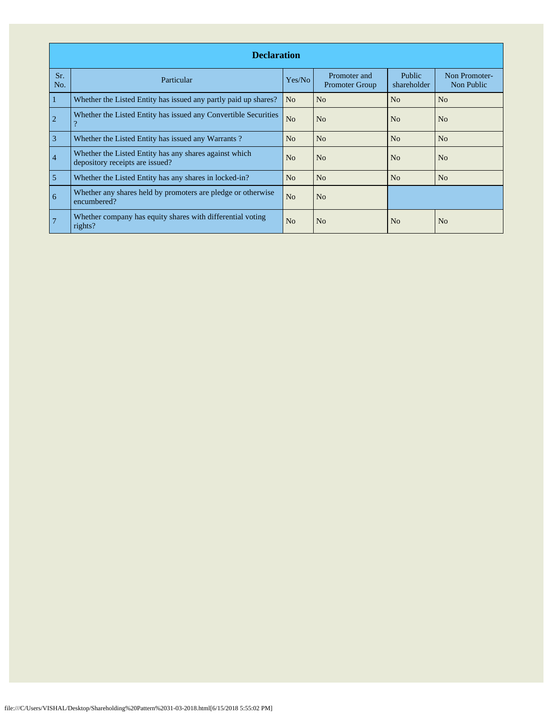|                | <b>Declaration</b>                                                                        |                |                                       |                              |                             |  |  |  |  |  |
|----------------|-------------------------------------------------------------------------------------------|----------------|---------------------------------------|------------------------------|-----------------------------|--|--|--|--|--|
| Sr.<br>No.     | Particular                                                                                | Yes/No         | Promoter and<br><b>Promoter Group</b> | <b>Public</b><br>shareholder | Non Promoter-<br>Non Public |  |  |  |  |  |
| 1              | Whether the Listed Entity has issued any partly paid up shares?                           | N <sub>o</sub> | N <sub>o</sub>                        | No                           | N <sub>o</sub>              |  |  |  |  |  |
| $\overline{2}$ | Whether the Listed Entity has issued any Convertible Securities<br>റ                      | N <sub>o</sub> | No                                    | No                           | No                          |  |  |  |  |  |
| $\overline{3}$ | Whether the Listed Entity has issued any Warrants?                                        | No             | N <sub>o</sub>                        | N <sub>o</sub>               | N <sub>o</sub>              |  |  |  |  |  |
| $\overline{4}$ | Whether the Listed Entity has any shares against which<br>depository receipts are issued? | N <sub>o</sub> | N <sub>0</sub>                        | N <sub>0</sub>               | N <sub>0</sub>              |  |  |  |  |  |
| 5              | Whether the Listed Entity has any shares in locked-in?                                    | N <sub>o</sub> | N <sub>o</sub>                        | No                           | No                          |  |  |  |  |  |
| 6              | Whether any shares held by promoters are pledge or otherwise<br>encumbered?               | N <sub>o</sub> | N <sub>o</sub>                        |                              |                             |  |  |  |  |  |
|                | Whether company has equity shares with differential voting<br>rights?                     | N <sub>o</sub> | N <sub>o</sub>                        | No                           | N <sub>o</sub>              |  |  |  |  |  |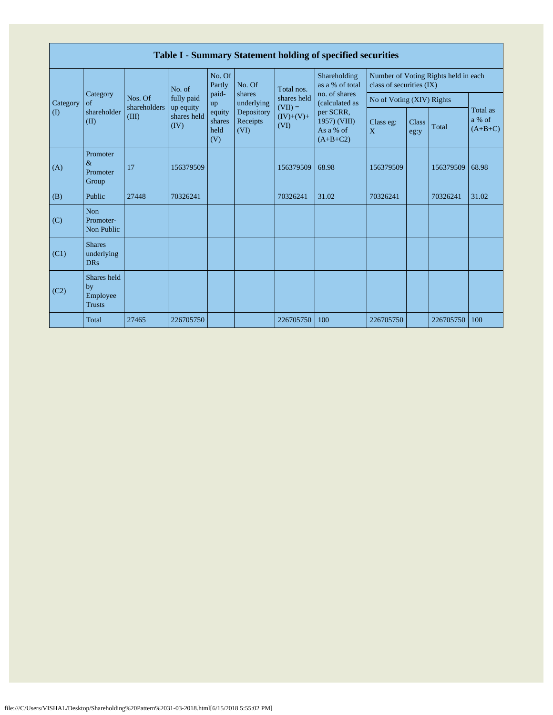|              | Table I - Summary Statement holding of specified securities |                         |                         |                                                                             |                                                        |                                                                  |                                                                                         |                           |               |           |                                 |  |  |  |
|--------------|-------------------------------------------------------------|-------------------------|-------------------------|-----------------------------------------------------------------------------|--------------------------------------------------------|------------------------------------------------------------------|-----------------------------------------------------------------------------------------|---------------------------|---------------|-----------|---------------------------------|--|--|--|
|              |                                                             |                         | No. of                  | No. Of<br>Shareholding<br>as a % of total<br>Partly<br>No. Of<br>Total nos. |                                                        | Number of Voting Rights held in each<br>class of securities (IX) |                                                                                         |                           |               |           |                                 |  |  |  |
| Category     | Category<br>of<br>shareholder<br>(II)                       | Nos. Of<br>shareholders | fully paid<br>up equity | paid-<br>up                                                                 | shares<br>underlying<br>Depository<br>Receipts<br>(VI) | shares held<br>$(VII) =$<br>$(IV)+(V)+$<br>(VI)                  | no. of shares<br>(calculated as<br>per SCRR,<br>1957) (VIII)<br>As a % of<br>$(A+B+C2)$ | No of Voting (XIV) Rights |               |           |                                 |  |  |  |
| $\mathbf{I}$ |                                                             | (III)                   | shares held<br>(IV)     | equity<br>shares<br>held<br>(V)                                             |                                                        |                                                                  |                                                                                         | Class eg:<br>X            | Class<br>eg:y | Total     | Total as<br>a % of<br>$(A+B+C)$ |  |  |  |
| (A)          | Promoter<br>$\&$<br>Promoter<br>Group                       | 17                      | 156379509               |                                                                             |                                                        | 156379509                                                        | 68.98                                                                                   | 156379509                 |               | 156379509 | 68.98                           |  |  |  |
| (B)          | Public                                                      | 27448                   | 70326241                |                                                                             |                                                        | 70326241                                                         | 31.02                                                                                   | 70326241                  |               | 70326241  | 31.02                           |  |  |  |
| (C)          | <b>Non</b><br>Promoter-<br>Non Public                       |                         |                         |                                                                             |                                                        |                                                                  |                                                                                         |                           |               |           |                                 |  |  |  |
| (C1)         | <b>Shares</b><br>underlying<br><b>DRs</b>                   |                         |                         |                                                                             |                                                        |                                                                  |                                                                                         |                           |               |           |                                 |  |  |  |
| (C2)         | Shares held<br>by<br>Employee<br><b>Trusts</b>              |                         |                         |                                                                             |                                                        |                                                                  |                                                                                         |                           |               |           |                                 |  |  |  |
|              | Total                                                       | 27465                   | 226705750               |                                                                             |                                                        | 226705750                                                        | 100                                                                                     | 226705750                 |               | 226705750 | 100                             |  |  |  |

Г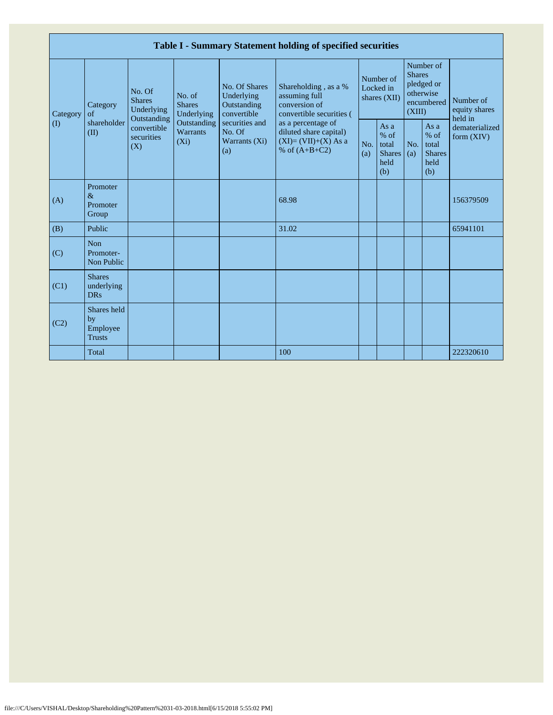|                         |                                                |                                                      |                                                                                    |                                                           | Table I - Summary Statement holding of specified securities                              |            |                                                         |                         |                                                       |                                                                         |
|-------------------------|------------------------------------------------|------------------------------------------------------|------------------------------------------------------------------------------------|-----------------------------------------------------------|------------------------------------------------------------------------------------------|------------|---------------------------------------------------------|-------------------------|-------------------------------------------------------|-------------------------------------------------------------------------|
| Category<br>$($ $($ $)$ | Category<br>of<br>shareholder<br>(II)          | No. Of<br><b>Shares</b><br>Underlying<br>Outstanding | No. of<br><b>Shares</b><br>Underlying<br>Outstanding<br><b>Warrants</b><br>$(X_i)$ | No. Of Shares<br>Underlying<br>Outstanding<br>convertible | Shareholding, as a %<br>assuming full<br>conversion of<br>convertible securities (       |            | Number of<br>Locked in<br>shares (XII)                  | <b>Shares</b><br>(XIII) | Number of<br>pledged or<br>otherwise<br>encumbered    | Number of<br>equity shares<br>held in<br>dematerialized<br>form $(XIV)$ |
|                         |                                                | convertible<br>securities<br>(X)                     |                                                                                    | securities and<br>No. Of<br>Warrants (Xi)<br>(a)          | as a percentage of<br>diluted share capital)<br>$(XI)=(VII)+(X) As a$<br>% of $(A+B+C2)$ | No.<br>(a) | As a<br>$%$ of<br>total<br><b>Shares</b><br>held<br>(b) | No.<br>(a)              | As a<br>% of<br>total<br><b>Shares</b><br>held<br>(b) |                                                                         |
| (A)                     | Promoter<br>$\&$<br>Promoter<br>Group          |                                                      |                                                                                    |                                                           | 68.98                                                                                    |            |                                                         |                         |                                                       | 156379509                                                               |
| (B)                     | Public                                         |                                                      |                                                                                    |                                                           | 31.02                                                                                    |            |                                                         |                         |                                                       | 65941101                                                                |
| (C)                     | <b>Non</b><br>Promoter-<br>Non Public          |                                                      |                                                                                    |                                                           |                                                                                          |            |                                                         |                         |                                                       |                                                                         |
| (C1)                    | <b>Shares</b><br>underlying<br><b>DRs</b>      |                                                      |                                                                                    |                                                           |                                                                                          |            |                                                         |                         |                                                       |                                                                         |
| (C2)                    | Shares held<br>by<br>Employee<br><b>Trusts</b> |                                                      |                                                                                    |                                                           |                                                                                          |            |                                                         |                         |                                                       |                                                                         |
|                         | Total                                          |                                                      |                                                                                    |                                                           | 100                                                                                      |            |                                                         |                         |                                                       | 222320610                                                               |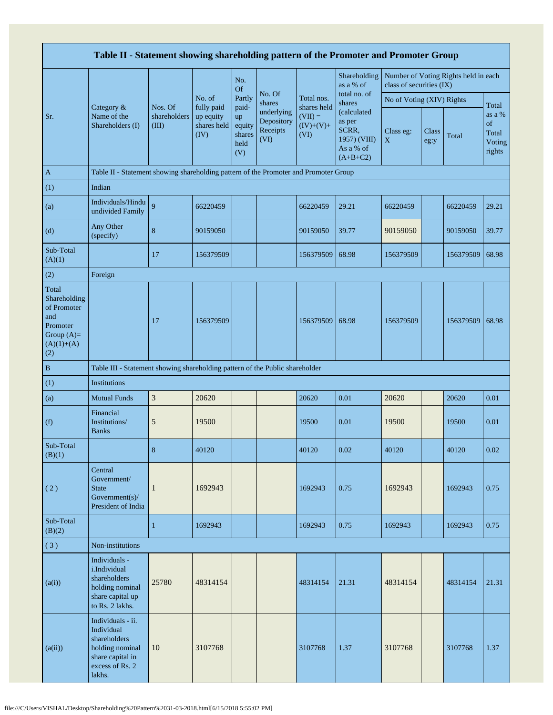| Table II - Statement showing shareholding pattern of the Promoter and Promoter Group           |                                                                                                                     |                                  |                                                |                                                |                                              |                                                 |                                                                           |                           |               |                                      |                                           |
|------------------------------------------------------------------------------------------------|---------------------------------------------------------------------------------------------------------------------|----------------------------------|------------------------------------------------|------------------------------------------------|----------------------------------------------|-------------------------------------------------|---------------------------------------------------------------------------|---------------------------|---------------|--------------------------------------|-------------------------------------------|
|                                                                                                |                                                                                                                     |                                  |                                                | No.<br><b>Of</b>                               |                                              |                                                 | Shareholding<br>as a % of                                                 | class of securities (IX)  |               | Number of Voting Rights held in each |                                           |
|                                                                                                | Category &<br>Name of the<br>Shareholders (I)                                                                       |                                  | No. of                                         | Partly                                         | No. Of<br>shares                             | Total nos.                                      | total no. of<br>shares                                                    | No of Voting (XIV) Rights |               |                                      | Total                                     |
| Sr.                                                                                            |                                                                                                                     | Nos. Of<br>shareholders<br>(III) | fully paid<br>up equity<br>shares held<br>(IV) | paid-<br>up<br>equity<br>shares<br>held<br>(V) | underlying<br>Depository<br>Receipts<br>(VI) | shares held<br>$(VII) =$<br>$(IV)+(V)+$<br>(VI) | (calculated<br>as per<br>SCRR,<br>1957) (VIII)<br>As a % of<br>$(A+B+C2)$ | Class eg:<br>$\mathbf X$  | Class<br>eg:y | Total                                | as a %<br>of<br>Total<br>Voting<br>rights |
| $\mathbf{A}$                                                                                   | Table II - Statement showing shareholding pattern of the Promoter and Promoter Group                                |                                  |                                                |                                                |                                              |                                                 |                                                                           |                           |               |                                      |                                           |
| (1)                                                                                            | Indian                                                                                                              |                                  |                                                |                                                |                                              |                                                 |                                                                           |                           |               |                                      |                                           |
| (a)                                                                                            | Individuals/Hindu<br>undivided Family                                                                               | 9                                | 66220459                                       |                                                |                                              | 66220459                                        | 29.21                                                                     | 66220459                  |               | 66220459                             | 29.21                                     |
| (d)                                                                                            | Any Other<br>(specify)                                                                                              | $\bf 8$                          | 90159050                                       |                                                |                                              | 90159050                                        | 39.77                                                                     | 90159050                  |               | 90159050                             | 39.77                                     |
| Sub-Total<br>(A)(1)                                                                            |                                                                                                                     | 17                               | 156379509                                      |                                                |                                              | 156379509                                       | 68.98                                                                     | 156379509                 |               | 156379509                            | 68.98                                     |
| (2)                                                                                            | Foreign                                                                                                             |                                  |                                                |                                                |                                              |                                                 |                                                                           |                           |               |                                      |                                           |
| Total<br>Shareholding<br>of Promoter<br>and<br>Promoter<br>Group $(A)=$<br>$(A)(1)+(A)$<br>(2) |                                                                                                                     | 17                               | 156379509                                      |                                                |                                              | 156379509                                       | 68.98                                                                     | 156379509                 |               | 156379509                            | 68.98                                     |
| $\, {\bf B}$                                                                                   | Table III - Statement showing shareholding pattern of the Public shareholder                                        |                                  |                                                |                                                |                                              |                                                 |                                                                           |                           |               |                                      |                                           |
| (1)                                                                                            | Institutions                                                                                                        |                                  |                                                |                                                |                                              |                                                 |                                                                           |                           |               |                                      |                                           |
| (a)                                                                                            | <b>Mutual Funds</b>                                                                                                 | $\ensuremath{\mathfrak{Z}}$      | 20620                                          |                                                |                                              | 20620                                           | 0.01                                                                      | 20620                     |               | 20620                                | 0.01                                      |
| (f)                                                                                            | Financial<br>Institutions/<br><b>Banks</b>                                                                          | $\sqrt{5}$                       | 19500                                          |                                                |                                              | 19500                                           | 0.01                                                                      | 19500                     |               | 19500                                | 0.01                                      |
| Sub-Total<br>(B)(1)                                                                            |                                                                                                                     | 8                                | 40120                                          |                                                |                                              | 40120                                           | 0.02                                                                      | 40120                     |               | 40120                                | 0.02                                      |
| (2)                                                                                            | Central<br>Government/<br><b>State</b><br>Government(s)/<br>President of India                                      | $\mathbf{1}$                     | 1692943                                        |                                                |                                              | 1692943                                         | 0.75                                                                      | 1692943                   |               | 1692943                              | 0.75                                      |
| Sub-Total<br>(B)(2)                                                                            |                                                                                                                     | $\mathbf{1}$                     | 1692943                                        |                                                |                                              | 1692943                                         | 0.75                                                                      | 1692943                   |               | 1692943                              | 0.75                                      |
| (3)                                                                                            | Non-institutions                                                                                                    |                                  |                                                |                                                |                                              |                                                 |                                                                           |                           |               |                                      |                                           |
| (a(i))                                                                                         | Individuals -<br>i.Individual<br>shareholders<br>holding nominal<br>share capital up<br>to Rs. 2 lakhs.             | 25780                            | 48314154                                       |                                                |                                              | 48314154                                        | 21.31                                                                     | 48314154                  |               | 48314154                             | 21.31                                     |
| (a(ii))                                                                                        | Individuals - ii.<br>Individual<br>shareholders<br>holding nominal<br>share capital in<br>excess of Rs. 2<br>lakhs. | 10                               | 3107768                                        |                                                |                                              | 3107768                                         | 1.37                                                                      | 3107768                   |               | 3107768                              | 1.37                                      |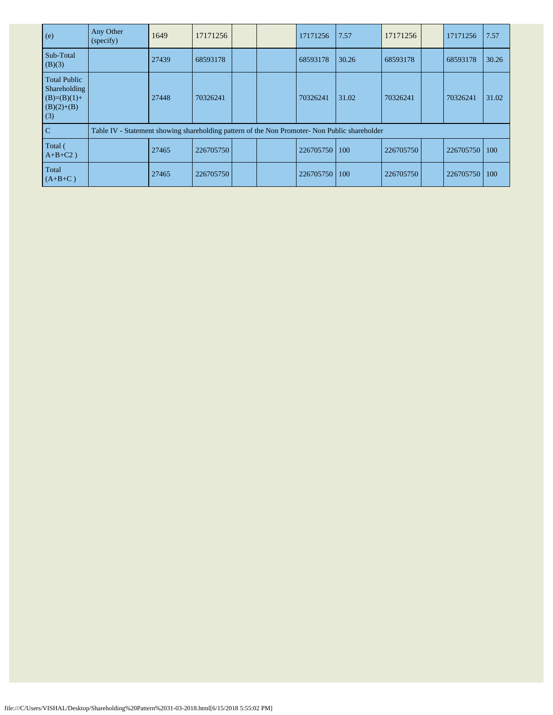| (e)                                                                         | Any Other<br>(specify)                                                                        | 1649  | 17171256  |  | 17171256        | 7.57  | 17171256  | 17171256  | 7.57       |
|-----------------------------------------------------------------------------|-----------------------------------------------------------------------------------------------|-------|-----------|--|-----------------|-------|-----------|-----------|------------|
| Sub-Total<br>(B)(3)                                                         |                                                                                               | 27439 | 68593178  |  | 68593178        | 30.26 | 68593178  | 68593178  | 30.26      |
| <b>Total Public</b><br>Shareholding<br>$(B)=(B)(1)+$<br>$(B)(2)+(B)$<br>(3) |                                                                                               | 27448 | 70326241  |  | 70326241        | 31.02 | 70326241  | 70326241  | 31.02      |
| $\mathcal{C}$                                                               | Table IV - Statement showing shareholding pattern of the Non Promoter- Non Public shareholder |       |           |  |                 |       |           |           |            |
| Total (<br>$A+B+C2$ )                                                       |                                                                                               | 27465 | 226705750 |  | 226705750   100 |       | 226705750 | 226705750 | <b>100</b> |
| Total<br>$(A+B+C)$                                                          |                                                                                               | 27465 | 226705750 |  | 226705750       | 100   | 226705750 | 226705750 | 100        |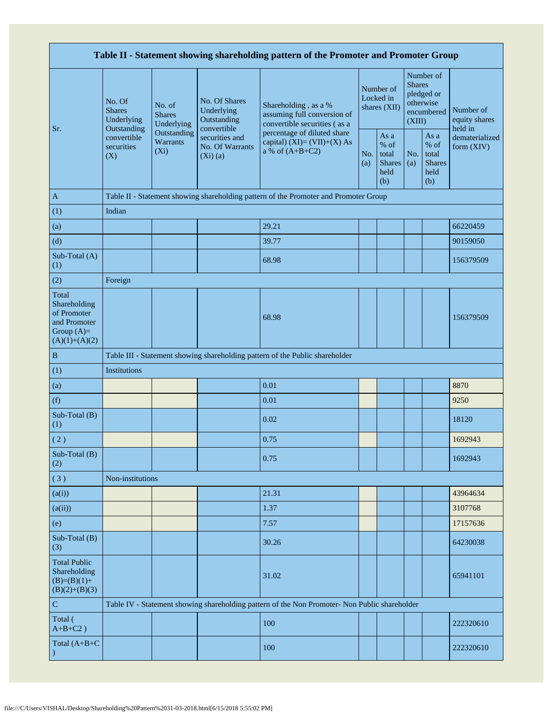| Table II - Statement showing shareholding pattern of the Promoter and Promoter Group    |                                                                        |                                       |                                                           |                                                                                               |  |                                                         |                                                                               |                                                       |                                       |  |  |
|-----------------------------------------------------------------------------------------|------------------------------------------------------------------------|---------------------------------------|-----------------------------------------------------------|-----------------------------------------------------------------------------------------------|--|---------------------------------------------------------|-------------------------------------------------------------------------------|-------------------------------------------------------|---------------------------------------|--|--|
| Sr.                                                                                     | No. Of<br><b>Shares</b><br>Underlying<br>Outstanding                   | No. of<br><b>Shares</b><br>Underlying | No. Of Shares<br>Underlying<br>Outstanding<br>convertible | Shareholding, as a %<br>assuming full conversion of<br>convertible securities (as a           |  | Number of<br>Locked in<br>shares (XII)                  | Number of<br><b>Shares</b><br>pledged or<br>otherwise<br>encumbered<br>(XIII) |                                                       | Number of<br>equity shares<br>held in |  |  |
|                                                                                         | Outstanding<br>convertible<br>Warrants<br>securities<br>$(X_i)$<br>(X) |                                       | securities and<br>No. Of Warrants<br>$(Xi)$ $(a)$         | percentage of diluted share<br>capital) $(XI) = (VII)+(X) As$<br>a % of $(A+B+C2)$            |  | As a<br>$%$ of<br>total<br><b>Shares</b><br>held<br>(b) | No.<br>(a)                                                                    | As a<br>% of<br>total<br><b>Shares</b><br>held<br>(b) | dematerialized<br>form $(XIV)$        |  |  |
| $\mathbf{A}$                                                                            |                                                                        |                                       |                                                           | Table II - Statement showing shareholding pattern of the Promoter and Promoter Group          |  |                                                         |                                                                               |                                                       |                                       |  |  |
| (1)                                                                                     | Indian                                                                 |                                       |                                                           |                                                                                               |  |                                                         |                                                                               |                                                       |                                       |  |  |
| (a)                                                                                     |                                                                        |                                       |                                                           | 29.21                                                                                         |  |                                                         |                                                                               |                                                       | 66220459                              |  |  |
| (d)                                                                                     |                                                                        |                                       |                                                           | 39.77                                                                                         |  |                                                         |                                                                               |                                                       | 90159050                              |  |  |
| Sub-Total (A)<br>(1)                                                                    |                                                                        |                                       |                                                           | 68.98                                                                                         |  |                                                         |                                                                               |                                                       | 156379509                             |  |  |
| (2)                                                                                     | Foreign                                                                |                                       |                                                           |                                                                                               |  |                                                         |                                                                               |                                                       |                                       |  |  |
| Total<br>Shareholding<br>of Promoter<br>and Promoter<br>Group $(A)=$<br>$(A)(1)+(A)(2)$ |                                                                        |                                       |                                                           | 68.98                                                                                         |  |                                                         |                                                                               |                                                       | 156379509                             |  |  |
| $\, {\bf B}$                                                                            |                                                                        |                                       |                                                           | Table III - Statement showing shareholding pattern of the Public shareholder                  |  |                                                         |                                                                               |                                                       |                                       |  |  |
| (1)                                                                                     | Institutions                                                           |                                       |                                                           |                                                                                               |  |                                                         |                                                                               |                                                       |                                       |  |  |
| (a)                                                                                     |                                                                        |                                       |                                                           | 0.01                                                                                          |  |                                                         |                                                                               |                                                       | 8870                                  |  |  |
| (f)                                                                                     |                                                                        |                                       |                                                           | 0.01                                                                                          |  |                                                         |                                                                               |                                                       | 9250                                  |  |  |
| Sub-Total (B)<br>(1)                                                                    |                                                                        |                                       |                                                           | 0.02                                                                                          |  |                                                         |                                                                               |                                                       | 18120                                 |  |  |
| (2)                                                                                     |                                                                        |                                       |                                                           | 0.75                                                                                          |  |                                                         |                                                                               |                                                       | 1692943                               |  |  |
| Sub-Total (B)<br>(2)                                                                    |                                                                        |                                       |                                                           | 0.75                                                                                          |  |                                                         |                                                                               |                                                       | 1692943                               |  |  |
| (3)                                                                                     | Non-institutions                                                       |                                       |                                                           |                                                                                               |  |                                                         |                                                                               |                                                       |                                       |  |  |
| (a(i))                                                                                  |                                                                        |                                       |                                                           | 21.31                                                                                         |  |                                                         |                                                                               |                                                       | 43964634                              |  |  |
| (a(ii))                                                                                 |                                                                        |                                       |                                                           | 1.37                                                                                          |  |                                                         |                                                                               |                                                       | 3107768                               |  |  |
| (e)                                                                                     |                                                                        |                                       |                                                           | 7.57                                                                                          |  |                                                         |                                                                               |                                                       | 17157636                              |  |  |
| Sub-Total (B)<br>(3)                                                                    |                                                                        |                                       |                                                           | 30.26                                                                                         |  |                                                         |                                                                               |                                                       | 64230038                              |  |  |
| <b>Total Public</b><br>Shareholding<br>$(B)=(B)(1)+$<br>$(B)(2)+(B)(3)$                 |                                                                        |                                       |                                                           | 31.02                                                                                         |  |                                                         |                                                                               |                                                       | 65941101                              |  |  |
| ${\bf C}$                                                                               |                                                                        |                                       |                                                           | Table IV - Statement showing shareholding pattern of the Non Promoter- Non Public shareholder |  |                                                         |                                                                               |                                                       |                                       |  |  |
| Total (<br>$A+B+C2$ )                                                                   |                                                                        |                                       |                                                           | 100                                                                                           |  |                                                         |                                                                               |                                                       | 222320610                             |  |  |
| Total (A+B+C                                                                            |                                                                        |                                       |                                                           | 100                                                                                           |  |                                                         |                                                                               |                                                       | 222320610                             |  |  |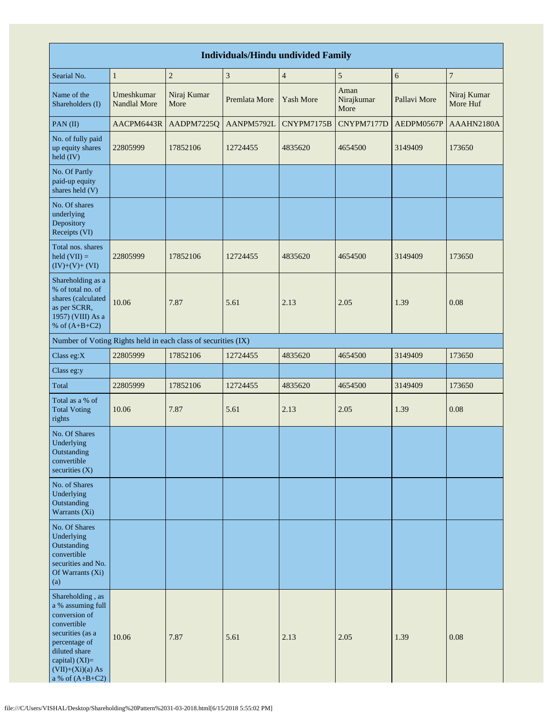| <b>Individuals/Hindu undivided Family</b>                                                                                                                                                  |                            |                     |               |                  |                            |              |                         |  |  |  |  |  |
|--------------------------------------------------------------------------------------------------------------------------------------------------------------------------------------------|----------------------------|---------------------|---------------|------------------|----------------------------|--------------|-------------------------|--|--|--|--|--|
| Searial No.                                                                                                                                                                                | $\mathbf{1}$               | $\overline{2}$      | $\sqrt{3}$    | $\overline{4}$   | $\sqrt{5}$                 | 6            | $\overline{7}$          |  |  |  |  |  |
| Name of the<br>Shareholders (I)                                                                                                                                                            | Umeshkumar<br>Nandlal More | Niraj Kumar<br>More | Premlata More | <b>Yash More</b> | Aman<br>Nirajkumar<br>More | Pallavi More | Niraj Kumar<br>More Huf |  |  |  |  |  |
| PAN(II)                                                                                                                                                                                    | AACPM6443R                 | AADPM7225Q          | AANPM5792L    | CNYPM7175B       | CNYPM7177D                 | AEDPM0567P   | AAAHN2180A              |  |  |  |  |  |
| No. of fully paid<br>up equity shares<br>$held$ (IV)                                                                                                                                       | 22805999                   | 17852106            | 12724455      | 4835620          | 4654500                    | 3149409      | 173650                  |  |  |  |  |  |
| No. Of Partly<br>paid-up equity<br>shares held (V)                                                                                                                                         |                            |                     |               |                  |                            |              |                         |  |  |  |  |  |
| No. Of shares<br>underlying<br>Depository<br>Receipts (VI)                                                                                                                                 |                            |                     |               |                  |                            |              |                         |  |  |  |  |  |
| Total nos. shares<br>$\text{held} (\text{VII}) =$<br>$(IV)+(V)+(VI)$                                                                                                                       | 22805999                   | 17852106            | 12724455      | 4835620          | 4654500                    | 3149409      | 173650                  |  |  |  |  |  |
| Shareholding as a<br>% of total no. of<br>shares (calculated<br>as per SCRR,<br>1957) (VIII) As a<br>% of $(A+B+C2)$                                                                       | 10.06                      | 7.87                | 5.61          | 2.13             | 2.05                       | 1.39         | 0.08                    |  |  |  |  |  |
| Number of Voting Rights held in each class of securities (IX)                                                                                                                              |                            |                     |               |                  |                            |              |                         |  |  |  |  |  |
| Class eg:X                                                                                                                                                                                 | 22805999                   | 17852106            | 12724455      | 4835620          | 4654500                    | 3149409      | 173650                  |  |  |  |  |  |
| Class eg:y                                                                                                                                                                                 |                            |                     |               |                  |                            |              |                         |  |  |  |  |  |
| Total                                                                                                                                                                                      | 22805999                   | 17852106            | 12724455      | 4835620          | 4654500                    | 3149409      | 173650                  |  |  |  |  |  |
| Total as a % of<br><b>Total Voting</b><br>rights                                                                                                                                           | 10.06                      | 7.87                | 5.61          | 2.13             | 2.05                       | 1.39         | 0.08                    |  |  |  |  |  |
| No. Of Shares<br>Underlying<br>Outstanding<br>convertible<br>securities $(X)$                                                                                                              |                            |                     |               |                  |                            |              |                         |  |  |  |  |  |
| No. of Shares<br>Underlying<br>Outstanding<br>Warrants $(X_i)$                                                                                                                             |                            |                     |               |                  |                            |              |                         |  |  |  |  |  |
| No. Of Shares<br>Underlying<br>Outstanding<br>convertible<br>securities and No.<br>Of Warrants (Xi)<br>(a)                                                                                 |                            |                     |               |                  |                            |              |                         |  |  |  |  |  |
| Shareholding, as<br>a % assuming full<br>conversion of<br>convertible<br>securities (as a<br>percentage of<br>diluted share<br>capital) $(XI)=$<br>$(VII)+(Xi)(a) As$<br>a % of $(A+B+C2)$ | 10.06                      | 7.87                | 5.61          | 2.13             | 2.05                       | 1.39         | 0.08                    |  |  |  |  |  |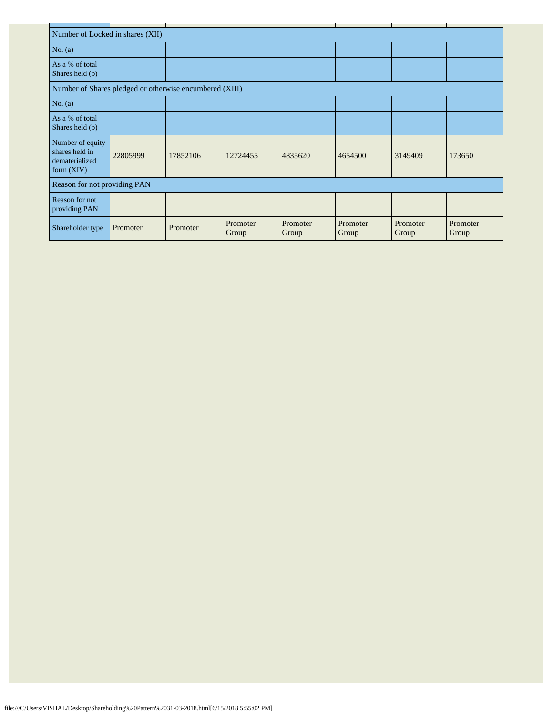|                                                                      | Number of Locked in shares (XII) |          |                   |                   |                   |                   |                   |  |  |  |  |  |
|----------------------------------------------------------------------|----------------------------------|----------|-------------------|-------------------|-------------------|-------------------|-------------------|--|--|--|--|--|
| No. $(a)$                                                            |                                  |          |                   |                   |                   |                   |                   |  |  |  |  |  |
| As a % of total<br>Shares held (b)                                   |                                  |          |                   |                   |                   |                   |                   |  |  |  |  |  |
| Number of Shares pledged or otherwise encumbered (XIII)              |                                  |          |                   |                   |                   |                   |                   |  |  |  |  |  |
| No. $(a)$                                                            |                                  |          |                   |                   |                   |                   |                   |  |  |  |  |  |
| As a % of total<br>Shares held (b)                                   |                                  |          |                   |                   |                   |                   |                   |  |  |  |  |  |
| Number of equity<br>shares held in<br>dematerialized<br>form $(XIV)$ | 22805999                         | 17852106 | 12724455          | 4835620           | 4654500           | 3149409           | 173650            |  |  |  |  |  |
| Reason for not providing PAN                                         |                                  |          |                   |                   |                   |                   |                   |  |  |  |  |  |
| Reason for not<br>providing PAN                                      |                                  |          |                   |                   |                   |                   |                   |  |  |  |  |  |
| Shareholder type                                                     | Promoter                         | Promoter | Promoter<br>Group | Promoter<br>Group | Promoter<br>Group | Promoter<br>Group | Promoter<br>Group |  |  |  |  |  |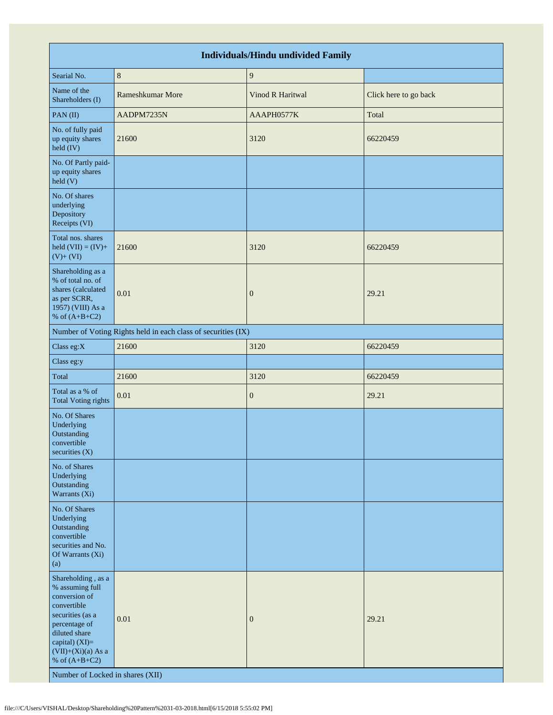| <b>Individuals/Hindu undivided Family</b>                                                                                                                                                                                    |                                                               |                         |                       |  |  |  |  |  |  |  |
|------------------------------------------------------------------------------------------------------------------------------------------------------------------------------------------------------------------------------|---------------------------------------------------------------|-------------------------|-----------------------|--|--|--|--|--|--|--|
| Searial No.                                                                                                                                                                                                                  | $\,8\,$                                                       | $\boldsymbol{9}$        |                       |  |  |  |  |  |  |  |
| Name of the<br>Shareholders (I)                                                                                                                                                                                              | Rameshkumar More                                              | <b>Vinod R Haritwal</b> | Click here to go back |  |  |  |  |  |  |  |
| PAN(II)                                                                                                                                                                                                                      | AADPM7235N                                                    | AAAPH0577K              | Total                 |  |  |  |  |  |  |  |
| No. of fully paid<br>up equity shares<br>held (IV)                                                                                                                                                                           | 21600                                                         | 3120                    | 66220459              |  |  |  |  |  |  |  |
| No. Of Partly paid-<br>up equity shares<br>held (V)                                                                                                                                                                          |                                                               |                         |                       |  |  |  |  |  |  |  |
| No. Of shares<br>underlying<br>Depository<br>Receipts (VI)                                                                                                                                                                   |                                                               |                         |                       |  |  |  |  |  |  |  |
| Total nos. shares<br>held $(VII) = (IV) +$<br>$(V)+(VI)$                                                                                                                                                                     | 21600                                                         | 3120                    | 66220459              |  |  |  |  |  |  |  |
| Shareholding as a<br>% of total no. of<br>shares (calculated<br>as per SCRR,<br>1957) (VIII) As a<br>% of $(A+B+C2)$                                                                                                         | 0.01                                                          | $\boldsymbol{0}$        | 29.21                 |  |  |  |  |  |  |  |
|                                                                                                                                                                                                                              | Number of Voting Rights held in each class of securities (IX) |                         |                       |  |  |  |  |  |  |  |
| Class eg:X                                                                                                                                                                                                                   | 21600                                                         | 3120                    | 66220459              |  |  |  |  |  |  |  |
| Class eg:y                                                                                                                                                                                                                   |                                                               |                         |                       |  |  |  |  |  |  |  |
| Total                                                                                                                                                                                                                        | 21600                                                         | 3120                    | 66220459              |  |  |  |  |  |  |  |
| Total as a % of<br><b>Total Voting rights</b>                                                                                                                                                                                | 0.01                                                          | $\boldsymbol{0}$        | 29.21                 |  |  |  |  |  |  |  |
| No. Of Shares<br>Underlying<br>Outstanding<br>convertible<br>securities (X)                                                                                                                                                  |                                                               |                         |                       |  |  |  |  |  |  |  |
| No. of Shares<br>Underlying<br>Outstanding<br>Warrants (Xi)                                                                                                                                                                  |                                                               |                         |                       |  |  |  |  |  |  |  |
| No. Of Shares<br>Underlying<br>Outstanding<br>convertible<br>securities and No.<br>Of Warrants (Xi)<br>(a)                                                                                                                   |                                                               |                         |                       |  |  |  |  |  |  |  |
| Shareholding, as a<br>% assuming full<br>conversion of<br>convertible<br>securities (as a<br>percentage of<br>diluted share<br>capital) (XI)=<br>$(VII)+(Xi)(a)$ As a<br>% of $(A+B+C2)$<br>Number of Locked in shares (XII) | 0.01                                                          | $\boldsymbol{0}$        | 29.21                 |  |  |  |  |  |  |  |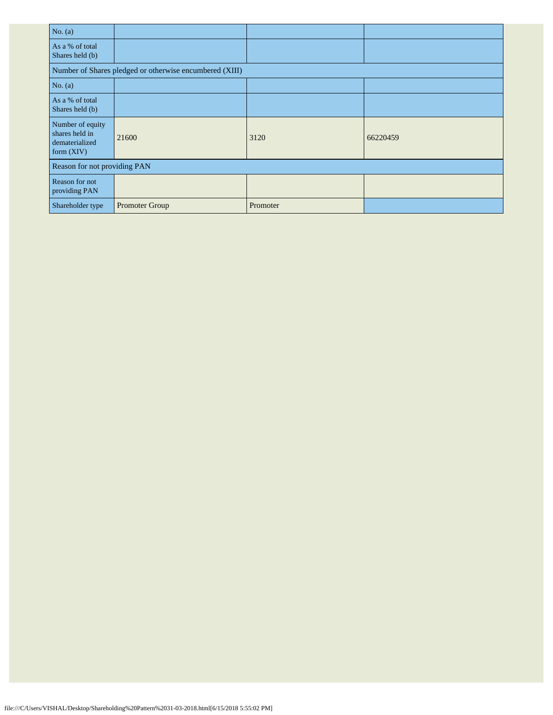| No. (a)                                                            |                                                         |          |          |
|--------------------------------------------------------------------|---------------------------------------------------------|----------|----------|
| As a % of total<br>Shares held (b)                                 |                                                         |          |          |
|                                                                    | Number of Shares pledged or otherwise encumbered (XIII) |          |          |
| No. $(a)$                                                          |                                                         |          |          |
| As a % of total<br>Shares held (b)                                 |                                                         |          |          |
| Number of equity<br>shares held in<br>dematerialized<br>form (XIV) | 21600                                                   | 3120     | 66220459 |
| Reason for not providing PAN                                       |                                                         |          |          |
| Reason for not<br>providing PAN                                    |                                                         |          |          |
| Shareholder type                                                   | Promoter Group                                          | Promoter |          |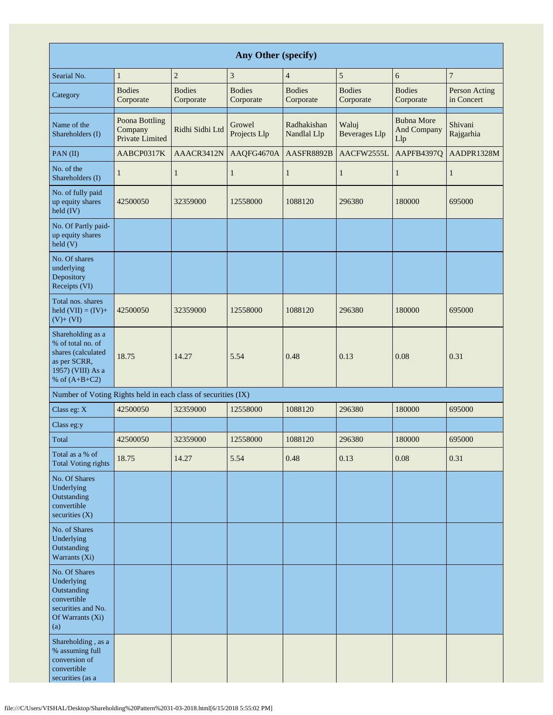| Any Other (specify)                                                                                                  |                                              |                            |                            |                            |                               |                                         |                             |  |  |  |  |  |
|----------------------------------------------------------------------------------------------------------------------|----------------------------------------------|----------------------------|----------------------------|----------------------------|-------------------------------|-----------------------------------------|-----------------------------|--|--|--|--|--|
| Searial No.                                                                                                          | 1                                            | $\sqrt{2}$                 | $\mathfrak z$              | $\overline{4}$             | 5                             | $\boldsymbol{6}$                        | $\overline{7}$              |  |  |  |  |  |
| Category                                                                                                             | <b>Bodies</b><br>Corporate                   | <b>Bodies</b><br>Corporate | <b>Bodies</b><br>Corporate | <b>Bodies</b><br>Corporate | <b>Bodies</b><br>Corporate    | <b>Bodies</b><br>Corporate              | Person Acting<br>in Concert |  |  |  |  |  |
| Name of the<br>Shareholders (I)                                                                                      | Poona Bottling<br>Company<br>Private Limited | Ridhi Sidhi Ltd            | Growel<br>Projects Llp     | Radhakishan<br>Nandlal Llp | Waluj<br><b>Beverages Llp</b> | <b>Bubna More</b><br>And Company<br>Llp | Shivani<br>Rajgarhia        |  |  |  |  |  |
| PAN $(II)$                                                                                                           | AABCP0317K                                   | AAACR3412N                 | AAQFG4670A                 | AASFR8892B                 | AACFW2555L                    | AAPFB4397Q                              | AADPR1328M                  |  |  |  |  |  |
| No. of the<br>Shareholders (I)                                                                                       | 1                                            | 1                          | $\mathbf{1}$               | 1                          | $\mathbf{1}$                  | $\mathbf{1}$                            | $\mathbf{1}$                |  |  |  |  |  |
| No. of fully paid<br>up equity shares<br>held (IV)                                                                   | 42500050                                     | 32359000                   | 12558000                   | 1088120                    | 296380                        | 180000                                  | 695000                      |  |  |  |  |  |
| No. Of Partly paid-<br>up equity shares<br>$\text{held}$ (V)                                                         |                                              |                            |                            |                            |                               |                                         |                             |  |  |  |  |  |
| No. Of shares<br>underlying<br>Depository<br>Receipts (VI)                                                           |                                              |                            |                            |                            |                               |                                         |                             |  |  |  |  |  |
| Total nos. shares<br>held $(VII) = (IV) +$<br>$(V)+(VI)$                                                             | 42500050                                     | 32359000                   | 12558000                   | 1088120                    | 296380                        | 180000                                  | 695000                      |  |  |  |  |  |
| Shareholding as a<br>% of total no. of<br>shares (calculated<br>as per SCRR,<br>1957) (VIII) As a<br>% of $(A+B+C2)$ | 18.75                                        | 14.27                      | 5.54                       | 0.48                       | 0.13                          | 0.08                                    | 0.31                        |  |  |  |  |  |
| Number of Voting Rights held in each class of securities (IX)                                                        |                                              |                            |                            |                            |                               |                                         |                             |  |  |  |  |  |
| Class eg: X                                                                                                          | 42500050                                     | 32359000                   | 12558000                   | 1088120                    | 296380                        | 180000                                  | 695000                      |  |  |  |  |  |
| Class eg:y                                                                                                           |                                              |                            |                            |                            |                               |                                         |                             |  |  |  |  |  |
| Total                                                                                                                | 42500050                                     | 32359000                   | 12558000                   | 1088120                    | 296380                        | 180000                                  | 695000                      |  |  |  |  |  |
| Total as a % of<br><b>Total Voting rights</b>                                                                        | 18.75                                        | 14.27                      | 5.54                       | 0.48                       | 0.13                          | 0.08                                    | 0.31                        |  |  |  |  |  |
| No. Of Shares<br>Underlying<br>Outstanding<br>convertible<br>securities $(X)$                                        |                                              |                            |                            |                            |                               |                                         |                             |  |  |  |  |  |
| No. of Shares<br>Underlying<br>Outstanding<br>Warrants (Xi)                                                          |                                              |                            |                            |                            |                               |                                         |                             |  |  |  |  |  |
| No. Of Shares<br>Underlying<br>Outstanding<br>convertible<br>securities and No.<br>Of Warrants (Xi)<br>(a)           |                                              |                            |                            |                            |                               |                                         |                             |  |  |  |  |  |
| Shareholding, as a<br>% assuming full<br>conversion of<br>convertible<br>securities (as a                            |                                              |                            |                            |                            |                               |                                         |                             |  |  |  |  |  |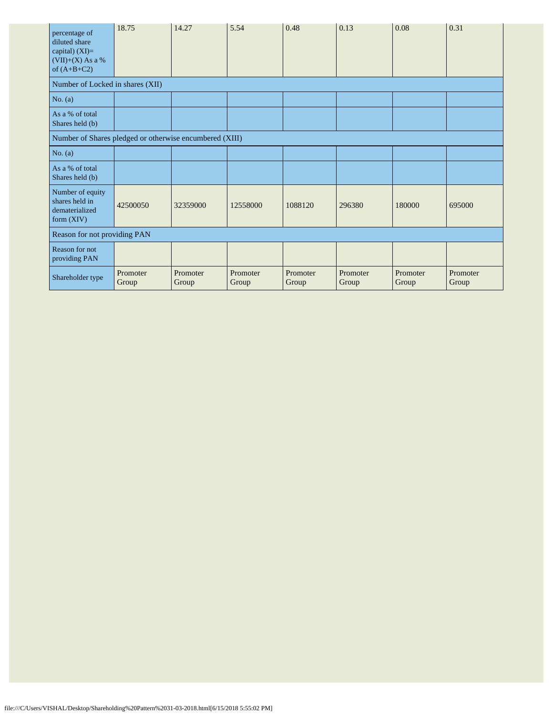| percentage of<br>diluted share<br>capital) $(XI)=$<br>$(VII)+(X)$ As a %<br>of $(A+B+C2)$ | 18.75             | 14.27             | 5.54              | 0.48              | 0.13              | 0.08              | 0.31              |
|-------------------------------------------------------------------------------------------|-------------------|-------------------|-------------------|-------------------|-------------------|-------------------|-------------------|
| Number of Locked in shares (XII)                                                          |                   |                   |                   |                   |                   |                   |                   |
| No. $(a)$                                                                                 |                   |                   |                   |                   |                   |                   |                   |
| As a % of total<br>Shares held (b)                                                        |                   |                   |                   |                   |                   |                   |                   |
| Number of Shares pledged or otherwise encumbered (XIII)                                   |                   |                   |                   |                   |                   |                   |                   |
| No. $(a)$                                                                                 |                   |                   |                   |                   |                   |                   |                   |
| As a % of total<br>Shares held (b)                                                        |                   |                   |                   |                   |                   |                   |                   |
| Number of equity<br>shares held in<br>dematerialized<br>form $(XIV)$                      | 42500050          | 32359000          | 12558000          | 1088120           | 296380            | 180000            | 695000            |
| Reason for not providing PAN                                                              |                   |                   |                   |                   |                   |                   |                   |
| Reason for not<br>providing PAN                                                           |                   |                   |                   |                   |                   |                   |                   |
| Shareholder type                                                                          | Promoter<br>Group | Promoter<br>Group | Promoter<br>Group | Promoter<br>Group | Promoter<br>Group | Promoter<br>Group | Promoter<br>Group |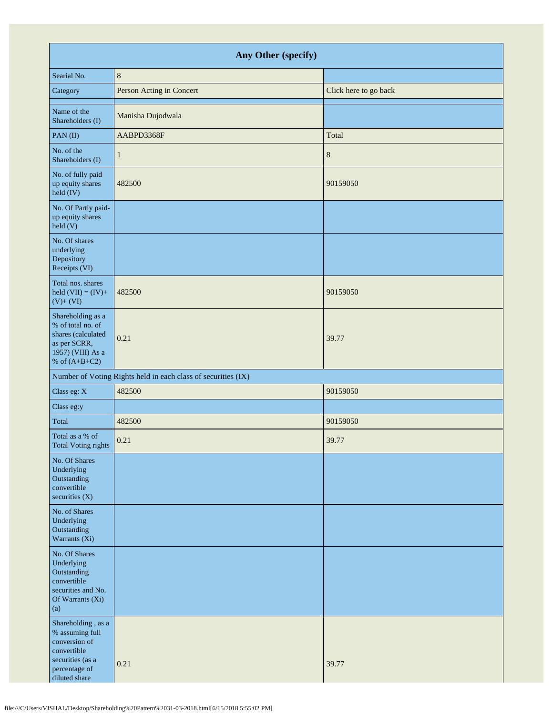| Any Other (specify)                                                                                                         |                                                               |                       |  |  |  |  |
|-----------------------------------------------------------------------------------------------------------------------------|---------------------------------------------------------------|-----------------------|--|--|--|--|
| Searial No.                                                                                                                 | $8\phantom{1}$                                                |                       |  |  |  |  |
| Category                                                                                                                    | Person Acting in Concert                                      | Click here to go back |  |  |  |  |
| Name of the<br>Shareholders (I)                                                                                             | Manisha Dujodwala                                             |                       |  |  |  |  |
| PAN(II)                                                                                                                     | AABPD3368F                                                    | Total                 |  |  |  |  |
| No. of the<br>Shareholders (I)                                                                                              | 1                                                             | 8                     |  |  |  |  |
| No. of fully paid<br>up equity shares<br>held (IV)                                                                          | 482500                                                        | 90159050              |  |  |  |  |
| No. Of Partly paid-<br>up equity shares<br>$\text{held}$ (V)                                                                |                                                               |                       |  |  |  |  |
| No. Of shares<br>underlying<br>Depository<br>Receipts (VI)                                                                  |                                                               |                       |  |  |  |  |
| Total nos. shares<br>held $(VII) = (IV) +$<br>$(V)+(VI)$                                                                    | 482500                                                        | 90159050              |  |  |  |  |
| Shareholding as a<br>% of total no. of<br>shares (calculated<br>as per SCRR,<br>1957) (VIII) As a<br>% of $(A+B+C2)$        | 0.21                                                          | 39.77                 |  |  |  |  |
|                                                                                                                             | Number of Voting Rights held in each class of securities (IX) |                       |  |  |  |  |
| Class eg: X                                                                                                                 | 482500                                                        | 90159050              |  |  |  |  |
| Class eg:y                                                                                                                  |                                                               |                       |  |  |  |  |
| Total                                                                                                                       | 482500                                                        | 90159050              |  |  |  |  |
| Total as a % of<br>Total Voting rights                                                                                      | 0.21                                                          | 39.77                 |  |  |  |  |
| No. Of Shares<br>Underlying<br>Outstanding<br>convertible<br>securities $(X)$                                               |                                                               |                       |  |  |  |  |
| No. of Shares<br>Underlying<br>Outstanding<br>Warrants (Xi)                                                                 |                                                               |                       |  |  |  |  |
| No. Of Shares<br>Underlying<br>Outstanding<br>convertible<br>securities and No.<br>Of Warrants (Xi)<br>(a)                  |                                                               |                       |  |  |  |  |
| Shareholding, as a<br>% assuming full<br>conversion of<br>convertible<br>securities (as a<br>percentage of<br>diluted share | 0.21                                                          | 39.77                 |  |  |  |  |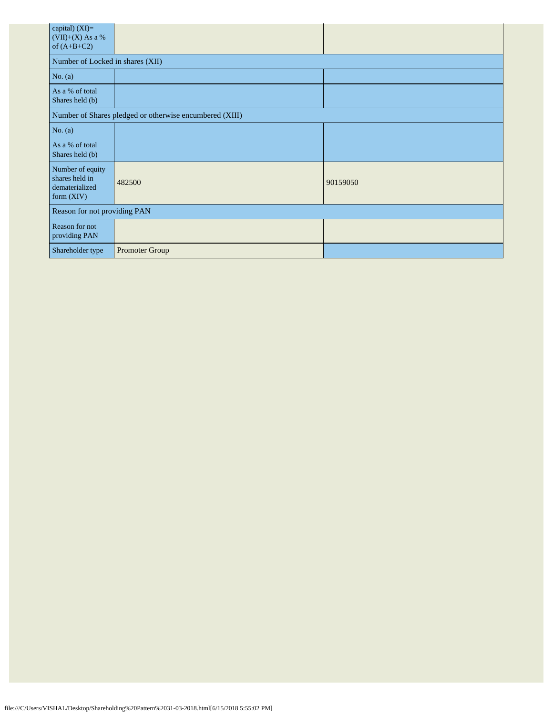| capital) (XI)=<br>$(VII)+(X)$ As a %<br>of $(A+B+C2)$                |                                  |          |  |  |  |  |  |
|----------------------------------------------------------------------|----------------------------------|----------|--|--|--|--|--|
|                                                                      | Number of Locked in shares (XII) |          |  |  |  |  |  |
| No. $(a)$                                                            |                                  |          |  |  |  |  |  |
| As a % of total<br>Shares held (b)                                   |                                  |          |  |  |  |  |  |
| Number of Shares pledged or otherwise encumbered (XIII)              |                                  |          |  |  |  |  |  |
| No. (a)                                                              |                                  |          |  |  |  |  |  |
| As a % of total<br>Shares held (b)                                   |                                  |          |  |  |  |  |  |
| Number of equity<br>shares held in<br>dematerialized<br>form $(XIV)$ | 482500                           | 90159050 |  |  |  |  |  |
| Reason for not providing PAN                                         |                                  |          |  |  |  |  |  |
| Reason for not<br>providing PAN                                      |                                  |          |  |  |  |  |  |
| Shareholder type                                                     | Promoter Group                   |          |  |  |  |  |  |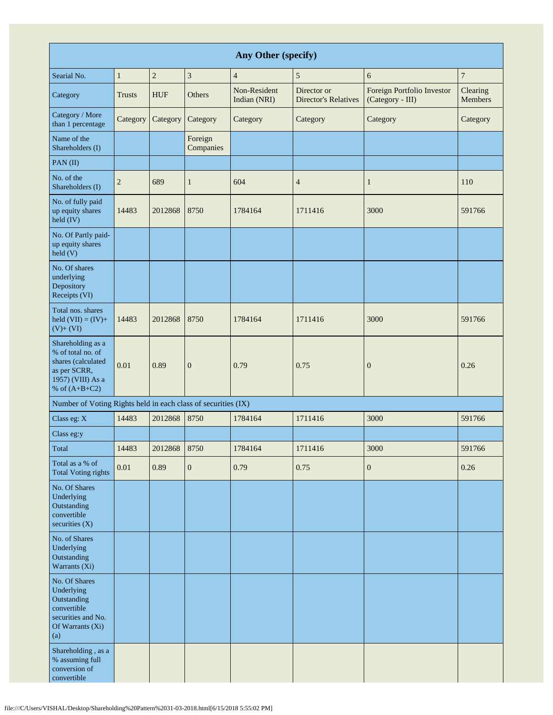| Any Other (specify)                                                                                                  |                |            |                      |                              |                                            |                                                |                            |
|----------------------------------------------------------------------------------------------------------------------|----------------|------------|----------------------|------------------------------|--------------------------------------------|------------------------------------------------|----------------------------|
| Searial No.                                                                                                          | $\mathbf{1}$   | $\sqrt{2}$ | 3                    | $\overline{4}$               | 5                                          | 6                                              | $\overline{7}$             |
| Category                                                                                                             | <b>Trusts</b>  | <b>HUF</b> | Others               | Non-Resident<br>Indian (NRI) | Director or<br><b>Director's Relatives</b> | Foreign Portfolio Investor<br>(Category - III) | Clearing<br><b>Members</b> |
| Category / More<br>than 1 percentage                                                                                 | Category       | Category   | Category             | Category                     | Category                                   | Category                                       | Category                   |
| Name of the<br>Shareholders (I)                                                                                      |                |            | Foreign<br>Companies |                              |                                            |                                                |                            |
| PAN(II)                                                                                                              |                |            |                      |                              |                                            |                                                |                            |
| No. of the<br>Shareholders (I)                                                                                       | $\overline{2}$ | 689        | $\mathbf{1}$         | 604                          | $\overline{4}$                             | $\mathbf{1}$                                   | 110                        |
| No. of fully paid<br>up equity shares<br>$\text{held (IV)}$                                                          | 14483          | 2012868    | 8750                 | 1784164                      | 1711416                                    | 3000                                           | 591766                     |
| No. Of Partly paid-<br>up equity shares<br>held(V)                                                                   |                |            |                      |                              |                                            |                                                |                            |
| No. Of shares<br>underlying<br>Depository<br>Receipts (VI)                                                           |                |            |                      |                              |                                            |                                                |                            |
| Total nos. shares<br>held $(VII) = (IV) +$<br>$(V)+(VI)$                                                             | 14483          | 2012868    | 8750                 | 1784164                      | 1711416                                    | 3000                                           | 591766                     |
| Shareholding as a<br>% of total no. of<br>shares (calculated<br>as per SCRR,<br>1957) (VIII) As a<br>% of $(A+B+C2)$ | 0.01           | 0.89       | $\boldsymbol{0}$     | 0.79                         | 0.75                                       | $\mathbf{0}$                                   | 0.26                       |
| Number of Voting Rights held in each class of securities (IX)                                                        |                |            |                      |                              |                                            |                                                |                            |
| Class eg: X                                                                                                          | 14483          | 2012868    | 8750                 | 1784164                      | 1711416                                    | 3000                                           | 591766                     |
| Class eg:y                                                                                                           |                |            |                      |                              |                                            |                                                |                            |
| Total                                                                                                                | 14483          | 2012868    | 8750                 | 1784164                      | 1711416                                    | 3000                                           | 591766                     |
| Total as a % of<br><b>Total Voting rights</b>                                                                        | $0.01\,$       | 0.89       | $\boldsymbol{0}$     | 0.79                         | 0.75                                       | $\boldsymbol{0}$                               | 0.26                       |
| No. Of Shares<br>Underlying<br>Outstanding<br>convertible<br>securities (X)                                          |                |            |                      |                              |                                            |                                                |                            |
| No. of Shares<br>Underlying<br>Outstanding<br>Warrants (Xi)                                                          |                |            |                      |                              |                                            |                                                |                            |
| No. Of Shares<br>Underlying<br>Outstanding<br>convertible<br>securities and No.<br>Of Warrants (Xi)<br>(a)           |                |            |                      |                              |                                            |                                                |                            |
| Shareholding, as a<br>% assuming full<br>conversion of<br>convertible                                                |                |            |                      |                              |                                            |                                                |                            |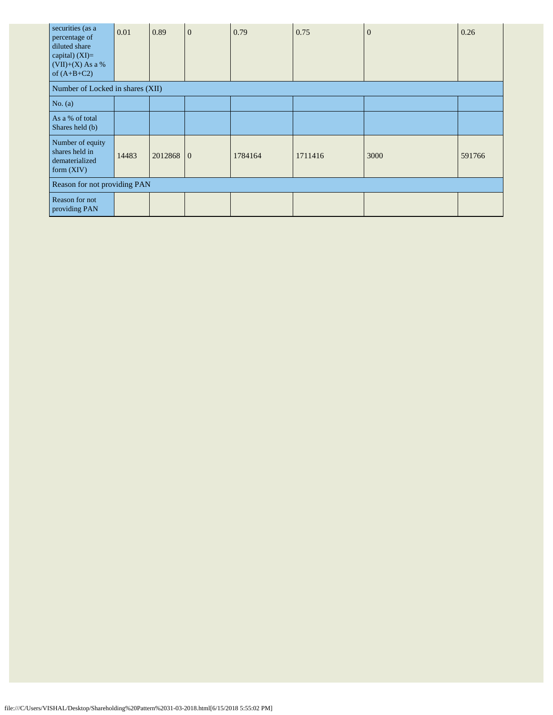| securities (as a<br>percentage of<br>diluted share<br>capital) $(XI)=$<br>$(VII)+(X)$ As a %<br>of $(A+B+C2)$ | 0.01  | 0.89    | $\mathbf{0}$ | 0.79    | 0.75    | $\overline{0}$ | 0.26   |
|---------------------------------------------------------------------------------------------------------------|-------|---------|--------------|---------|---------|----------------|--------|
| Number of Locked in shares (XII)                                                                              |       |         |              |         |         |                |        |
| No. $(a)$                                                                                                     |       |         |              |         |         |                |        |
| As a % of total<br>Shares held (b)                                                                            |       |         |              |         |         |                |        |
| Number of equity<br>shares held in<br>dematerialized<br>form $(XIV)$                                          | 14483 | 2012868 | $\Omega$     | 1784164 | 1711416 | 3000           | 591766 |
| Reason for not providing PAN                                                                                  |       |         |              |         |         |                |        |
| Reason for not<br>providing PAN                                                                               |       |         |              |         |         |                |        |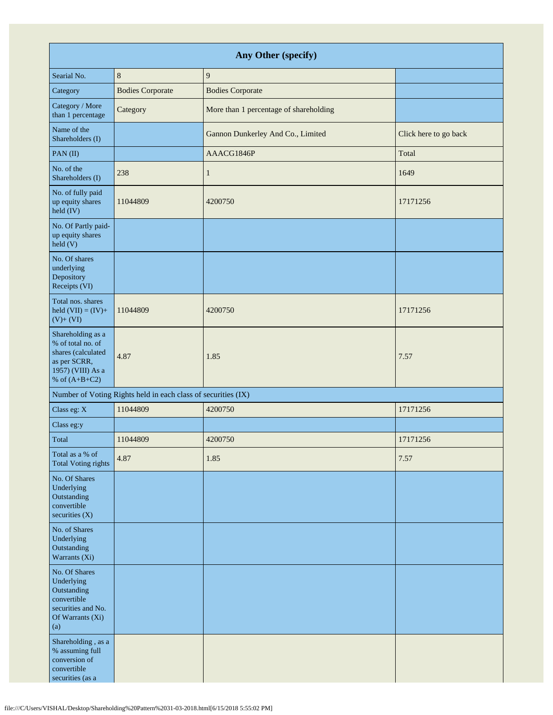| Any Other (specify)                                                                                                  |                                                               |                                        |                       |  |  |  |
|----------------------------------------------------------------------------------------------------------------------|---------------------------------------------------------------|----------------------------------------|-----------------------|--|--|--|
| Searial No.                                                                                                          | $\,8\,$                                                       | 9                                      |                       |  |  |  |
| Category                                                                                                             | <b>Bodies Corporate</b>                                       | <b>Bodies Corporate</b>                |                       |  |  |  |
| Category / More<br>than 1 percentage                                                                                 | Category                                                      | More than 1 percentage of shareholding |                       |  |  |  |
| Name of the<br>Shareholders (I)                                                                                      |                                                               | Gannon Dunkerley And Co., Limited      | Click here to go back |  |  |  |
| PAN(II)                                                                                                              |                                                               | AAACG1846P                             | Total                 |  |  |  |
| No. of the<br>Shareholders (I)                                                                                       | 238                                                           | $\mathbf{1}$                           | 1649                  |  |  |  |
| No. of fully paid<br>up equity shares<br>held (IV)                                                                   | 11044809                                                      | 4200750                                | 17171256              |  |  |  |
| No. Of Partly paid-<br>up equity shares<br>$\text{held}$ (V)                                                         |                                                               |                                        |                       |  |  |  |
| No. Of shares<br>underlying<br>Depository<br>Receipts (VI)                                                           |                                                               |                                        |                       |  |  |  |
| Total nos. shares<br>held $(VII) = (IV) +$<br>$(V)+(VI)$                                                             | 11044809                                                      | 4200750                                | 17171256              |  |  |  |
| Shareholding as a<br>% of total no. of<br>shares (calculated<br>as per SCRR,<br>1957) (VIII) As a<br>% of $(A+B+C2)$ | 4.87                                                          | 1.85                                   | 7.57                  |  |  |  |
|                                                                                                                      | Number of Voting Rights held in each class of securities (IX) |                                        |                       |  |  |  |
| Class eg: X                                                                                                          | 11044809                                                      | 4200750                                | 17171256              |  |  |  |
| Class eg:y                                                                                                           |                                                               |                                        |                       |  |  |  |
| Total                                                                                                                | 11044809                                                      | 4200750                                | 17171256              |  |  |  |
| Total as a % of<br><b>Total Voting rights</b>                                                                        | 4.87                                                          | 1.85                                   | 7.57                  |  |  |  |
| No. Of Shares<br>Underlying<br>Outstanding<br>convertible<br>securities (X)                                          |                                                               |                                        |                       |  |  |  |
| No. of Shares<br>Underlying<br>Outstanding<br>Warrants (Xi)                                                          |                                                               |                                        |                       |  |  |  |
| No. Of Shares<br>Underlying<br>Outstanding<br>convertible<br>securities and No.<br>Of Warrants (Xi)<br>(a)           |                                                               |                                        |                       |  |  |  |
| Shareholding, as a<br>% assuming full<br>conversion of<br>convertible<br>securities (as a                            |                                                               |                                        |                       |  |  |  |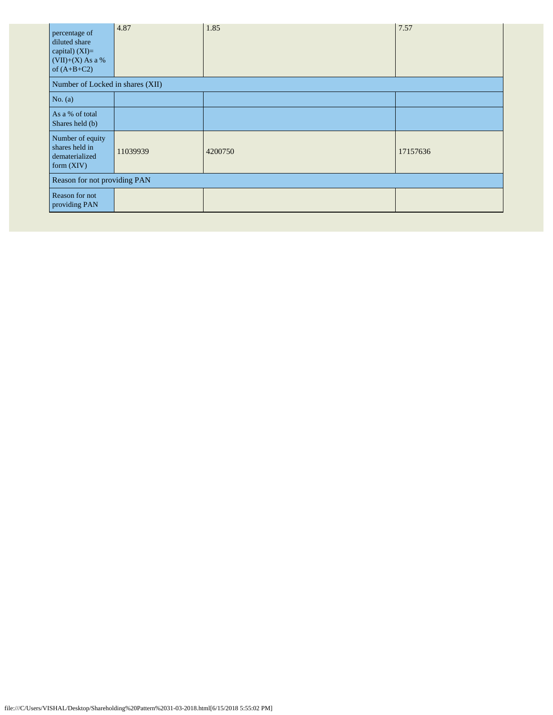| percentage of<br>diluted share<br>capital) (XI)=<br>$(VII)+(X)$ As a %<br>of $(A+B+C2)$ | 4.87     | 1.85    | 7.57     |  |  |
|-----------------------------------------------------------------------------------------|----------|---------|----------|--|--|
| Number of Locked in shares (XII)                                                        |          |         |          |  |  |
| No. $(a)$                                                                               |          |         |          |  |  |
| As a % of total<br>Shares held (b)                                                      |          |         |          |  |  |
| Number of equity<br>shares held in<br>dematerialized<br>form $(XIV)$                    | 11039939 | 4200750 | 17157636 |  |  |
| Reason for not providing PAN                                                            |          |         |          |  |  |
| Reason for not<br>providing PAN                                                         |          |         |          |  |  |